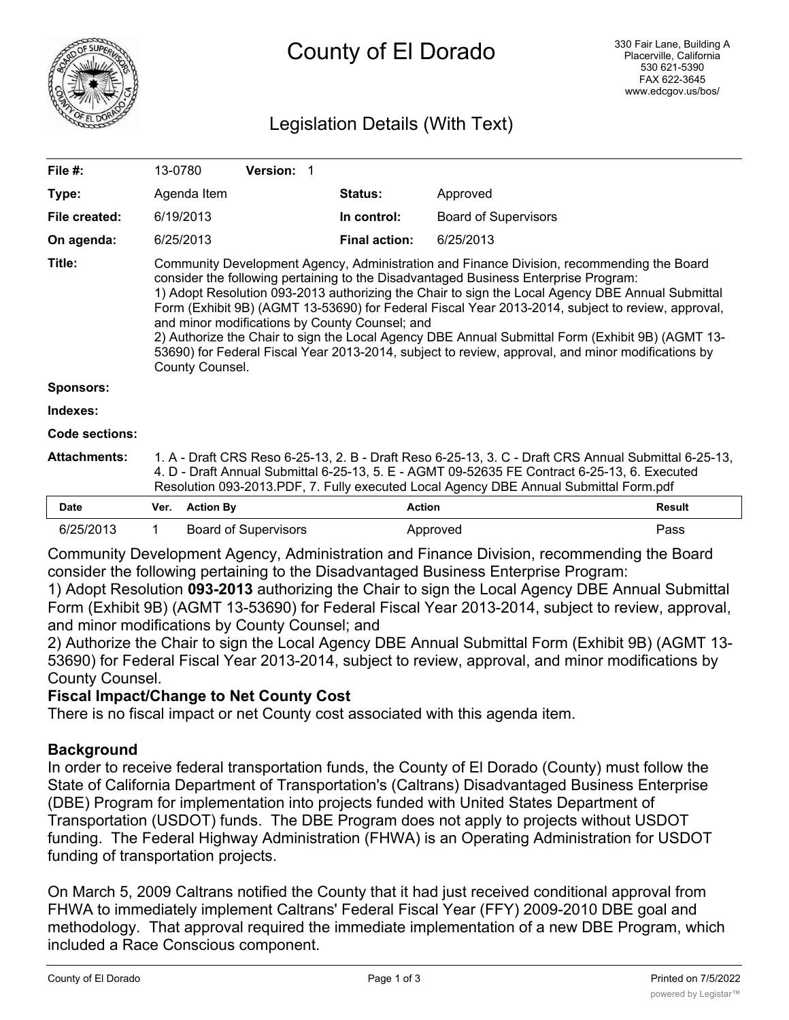

# Legislation Details (With Text)

| File $#$ :            | 13-0780                                                                                                                                                                                                                                                                                                                                                                                                                                                                                                                                                                                                                                                                 |                  | <b>Version: 1</b>           |  |                      |                             |               |
|-----------------------|-------------------------------------------------------------------------------------------------------------------------------------------------------------------------------------------------------------------------------------------------------------------------------------------------------------------------------------------------------------------------------------------------------------------------------------------------------------------------------------------------------------------------------------------------------------------------------------------------------------------------------------------------------------------------|------------------|-----------------------------|--|----------------------|-----------------------------|---------------|
| Type:                 |                                                                                                                                                                                                                                                                                                                                                                                                                                                                                                                                                                                                                                                                         | Agenda Item      |                             |  | Status:              | Approved                    |               |
| File created:         | 6/19/2013                                                                                                                                                                                                                                                                                                                                                                                                                                                                                                                                                                                                                                                               |                  |                             |  | In control:          | <b>Board of Supervisors</b> |               |
| On agenda:            | 6/25/2013                                                                                                                                                                                                                                                                                                                                                                                                                                                                                                                                                                                                                                                               |                  |                             |  | <b>Final action:</b> | 6/25/2013                   |               |
| Title:                | Community Development Agency, Administration and Finance Division, recommending the Board<br>consider the following pertaining to the Disadvantaged Business Enterprise Program:<br>1) Adopt Resolution 093-2013 authorizing the Chair to sign the Local Agency DBE Annual Submittal<br>Form (Exhibit 9B) (AGMT 13-53690) for Federal Fiscal Year 2013-2014, subject to review, approval,<br>and minor modifications by County Counsel; and<br>2) Authorize the Chair to sign the Local Agency DBE Annual Submittal Form (Exhibit 9B) (AGMT 13-<br>53690) for Federal Fiscal Year 2013-2014, subject to review, approval, and minor modifications by<br>County Counsel. |                  |                             |  |                      |                             |               |
| <b>Sponsors:</b>      |                                                                                                                                                                                                                                                                                                                                                                                                                                                                                                                                                                                                                                                                         |                  |                             |  |                      |                             |               |
| Indexes:              |                                                                                                                                                                                                                                                                                                                                                                                                                                                                                                                                                                                                                                                                         |                  |                             |  |                      |                             |               |
| <b>Code sections:</b> |                                                                                                                                                                                                                                                                                                                                                                                                                                                                                                                                                                                                                                                                         |                  |                             |  |                      |                             |               |
| <b>Attachments:</b>   | 1. A - Draft CRS Reso 6-25-13, 2. B - Draft Reso 6-25-13, 3. C - Draft CRS Annual Submittal 6-25-13,<br>4. D - Draft Annual Submittal 6-25-13, 5. E - AGMT 09-52635 FE Contract 6-25-13, 6. Executed<br>Resolution 093-2013.PDF, 7. Fully executed Local Agency DBE Annual Submittal Form.pdf                                                                                                                                                                                                                                                                                                                                                                           |                  |                             |  |                      |                             |               |
| <b>Date</b>           | Ver.                                                                                                                                                                                                                                                                                                                                                                                                                                                                                                                                                                                                                                                                    | <b>Action By</b> |                             |  | <b>Action</b>        |                             | <b>Result</b> |
| 6/25/2013             | 1                                                                                                                                                                                                                                                                                                                                                                                                                                                                                                                                                                                                                                                                       |                  | <b>Board of Supervisors</b> |  |                      | Approved                    | Pass          |

Community Development Agency, Administration and Finance Division, recommending the Board consider the following pertaining to the Disadvantaged Business Enterprise Program:

1) Adopt Resolution **093-2013** authorizing the Chair to sign the Local Agency DBE Annual Submittal Form (Exhibit 9B) (AGMT 13-53690) for Federal Fiscal Year 2013-2014, subject to review, approval, and minor modifications by County Counsel; and

2) Authorize the Chair to sign the Local Agency DBE Annual Submittal Form (Exhibit 9B) (AGMT 13- 53690) for Federal Fiscal Year 2013-2014, subject to review, approval, and minor modifications by County Counsel.

## **Fiscal Impact/Change to Net County Cost**

There is no fiscal impact or net County cost associated with this agenda item.

## **Background**

In order to receive federal transportation funds, the County of El Dorado (County) must follow the State of California Department of Transportation's (Caltrans) Disadvantaged Business Enterprise (DBE) Program for implementation into projects funded with United States Department of Transportation (USDOT) funds. The DBE Program does not apply to projects without USDOT funding. The Federal Highway Administration (FHWA) is an Operating Administration for USDOT funding of transportation projects.

On March 5, 2009 Caltrans notified the County that it had just received conditional approval from FHWA to immediately implement Caltrans' Federal Fiscal Year (FFY) 2009-2010 DBE goal and methodology. That approval required the immediate implementation of a new DBE Program, which included a Race Conscious component.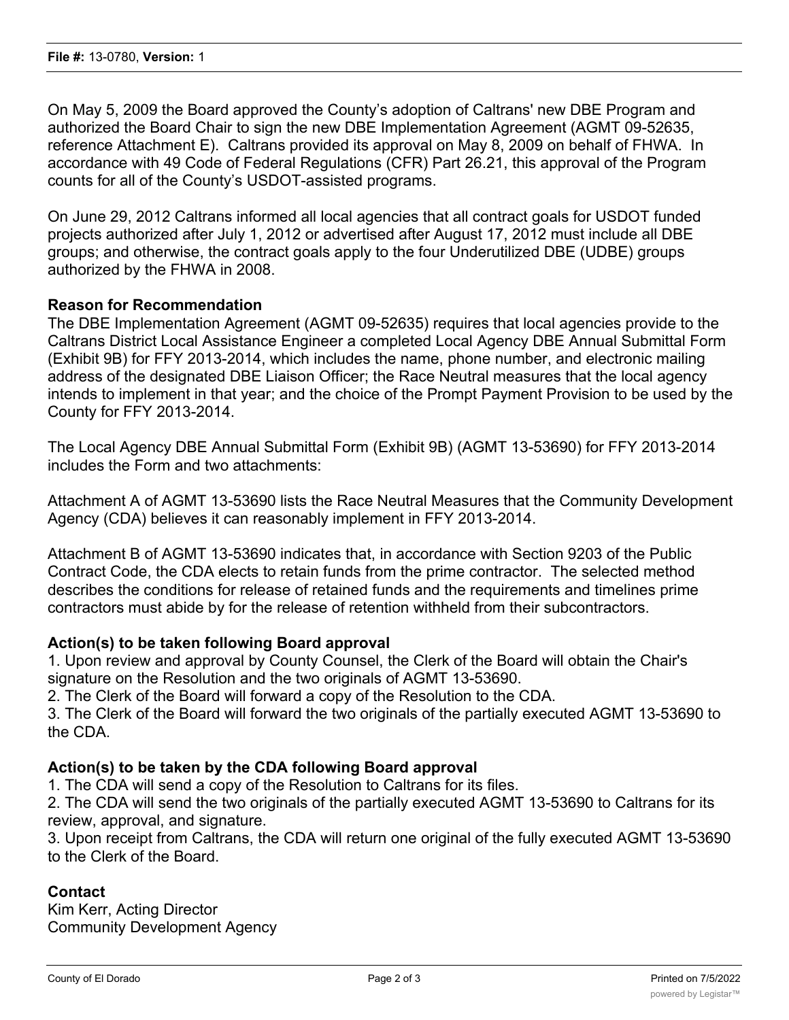On May 5, 2009 the Board approved the County's adoption of Caltrans' new DBE Program and authorized the Board Chair to sign the new DBE Implementation Agreement (AGMT 09-52635, reference Attachment E). Caltrans provided its approval on May 8, 2009 on behalf of FHWA. In accordance with 49 Code of Federal Regulations (CFR) Part 26.21, this approval of the Program counts for all of the County's USDOT-assisted programs.

On June 29, 2012 Caltrans informed all local agencies that all contract goals for USDOT funded projects authorized after July 1, 2012 or advertised after August 17, 2012 must include all DBE groups; and otherwise, the contract goals apply to the four Underutilized DBE (UDBE) groups authorized by the FHWA in 2008.

#### **Reason for Recommendation**

The DBE Implementation Agreement (AGMT 09-52635) requires that local agencies provide to the Caltrans District Local Assistance Engineer a completed Local Agency DBE Annual Submittal Form (Exhibit 9B) for FFY 2013-2014, which includes the name, phone number, and electronic mailing address of the designated DBE Liaison Officer; the Race Neutral measures that the local agency intends to implement in that year; and the choice of the Prompt Payment Provision to be used by the County for FFY 2013-2014.

The Local Agency DBE Annual Submittal Form (Exhibit 9B) (AGMT 13-53690) for FFY 2013-2014 includes the Form and two attachments:

Attachment A of AGMT 13-53690 lists the Race Neutral Measures that the Community Development Agency (CDA) believes it can reasonably implement in FFY 2013-2014.

Attachment B of AGMT 13-53690 indicates that, in accordance with Section 9203 of the Public Contract Code, the CDA elects to retain funds from the prime contractor. The selected method describes the conditions for release of retained funds and the requirements and timelines prime contractors must abide by for the release of retention withheld from their subcontractors.

#### **Action(s) to be taken following Board approval**

1. Upon review and approval by County Counsel, the Clerk of the Board will obtain the Chair's signature on the Resolution and the two originals of AGMT 13-53690.

2. The Clerk of the Board will forward a copy of the Resolution to the CDA.

3. The Clerk of the Board will forward the two originals of the partially executed AGMT 13-53690 to the CDA.

## **Action(s) to be taken by the CDA following Board approval**

1. The CDA will send a copy of the Resolution to Caltrans for its files.

2. The CDA will send the two originals of the partially executed AGMT 13-53690 to Caltrans for its review, approval, and signature.

3. Upon receipt from Caltrans, the CDA will return one original of the fully executed AGMT 13-53690 to the Clerk of the Board.

## **Contact**

Kim Kerr, Acting Director Community Development Agency